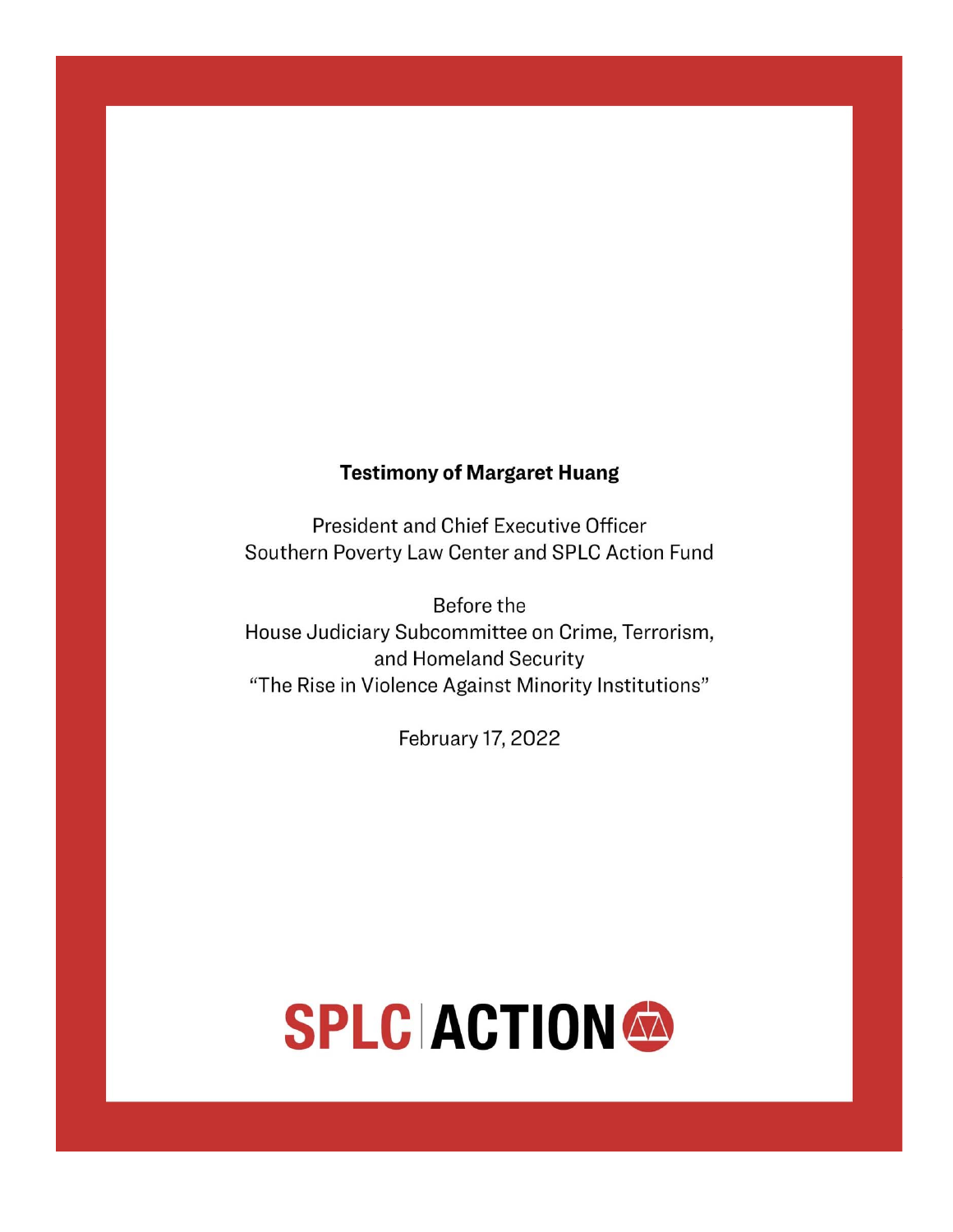# **Testimony of Margaret Huang**

President and Chief Executive Officer Southern Poverty Law Center and SPLC Action Fund

Before the House Judiciary Subcommittee on Crime, Terrorism, and Homeland Security "The Rise in Violence Against Minority Institutions"

February 17, 2022

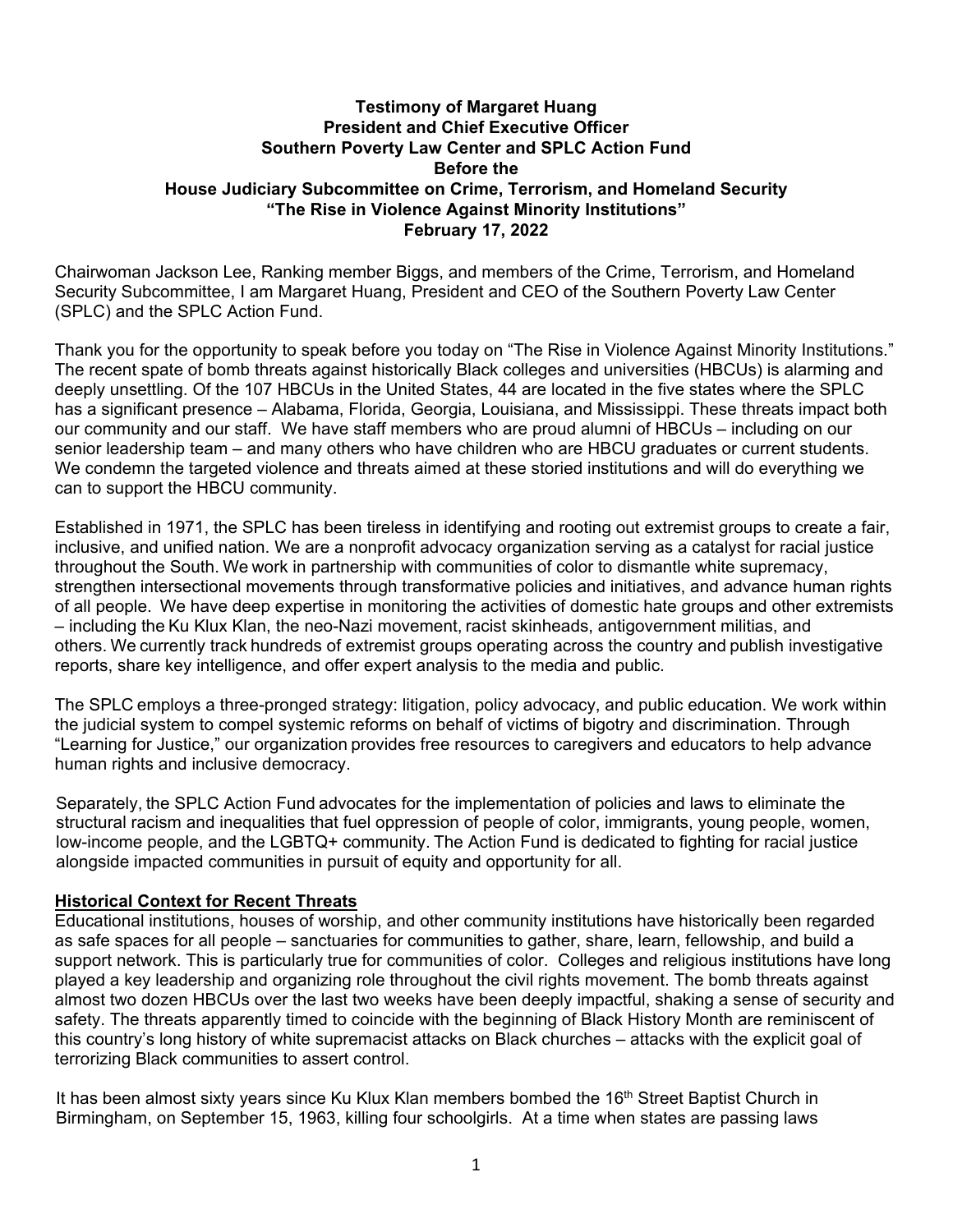# **Testimony of Margaret Huang President and Chief Executive Officer Southern Poverty Law Center and SPLC Action Fund Before the House Judiciary Subcommittee on Crime, Terrorism, and Homeland Security "The Rise in Violence Against Minority Institutions" February 17, 2022**

Chairwoman Jackson Lee, Ranking member Biggs, and members of the Crime, Terrorism, and Homeland Security Subcommittee, I am Margaret Huang, President and CEO of the Southern Poverty Law Center (SPLC) and the SPLC Action Fund.

Thank you for the opportunity to speak before you today on "The Rise in Violence Against Minority Institutions." The recent spate of bomb threats against historically Black colleges and universities (HBCUs) is alarming and deeply unsettling. Of the 107 HBCUs in the United States, 44 are located in the five states where the SPLC has a significant presence – Alabama, Florida, Georgia, Louisiana, and Mississippi. These threats impact both our community and our staff. We have staff members who are proud alumni of HBCUs – including on our senior leadership team – and many others who have children who are HBCU graduates or current students. We condemn the targeted violence and threats aimed at these storied institutions and will do everything we can to support the HBCU community.

Established in 1971, the SPLC has been tireless in identifying and rooting out extremist groups to create a fair, inclusive, and unified nation. We are a nonprofit advocacy organization serving as a catalyst for racial justice throughout the South. We work in partnership with communities of color to dismantle white supremacy, strengthen intersectional movements through transformative policies and initiatives, and advance human rights of all people.We have deep expertise in monitoring the activities of domestic hate groups and other extremists – including the Ku Klux Klan, the neo-Nazi movement, racist skinheads, antigovernment militias, and others. We currently track hundreds of extremist groups operating across the country and publish investigative reports, share key intelligence, and offer expert analysis to the media and public.

The SPLC employs a three-pronged strategy: litigation, policy advocacy, and public education. We work within the judicial system to compel systemic reforms on behalf of victims of bigotry and discrimination. Through "Learning for Justice," our organization provides free resources to caregivers and educators to help advance human rights and inclusive democracy.

Separately, the SPLC Action Fund advocates for the implementation of policies and laws to eliminate the structural racism and inequalities that fuel oppression of people of color, immigrants, young people, women, low-income people, and the LGBTQ+ community. The Action Fund is dedicated to fighting for racial justice alongside impacted communities in pursuit of equity and opportunity for all.

# **Historical Context for Recent Threats**

Educational institutions, houses of worship, and other community institutions have historically been regarded as safe spaces for all people – sanctuaries for communities to gather, share, learn, fellowship, and build a support network. This is particularly true for communities of color. Colleges and religious institutions have long played a key leadership and organizing role throughout the civil rights movement. The bomb threats against almost two dozen HBCUs over the last two weeks have been deeply impactful, shaking a sense of security and safety. The threats apparently timed to coincide with the beginning of Black History Month are reminiscent of this country's long history of white supremacist attacks on Black churches – attacks with the explicit goal of terrorizing Black communities to assert control.

It has been almost sixty years since Ku Klux Klan members bombed the  $16<sup>th</sup>$  Street Baptist Church in Birmingham, on September 15, 1963, killing four schoolgirls. At a time when states are passing laws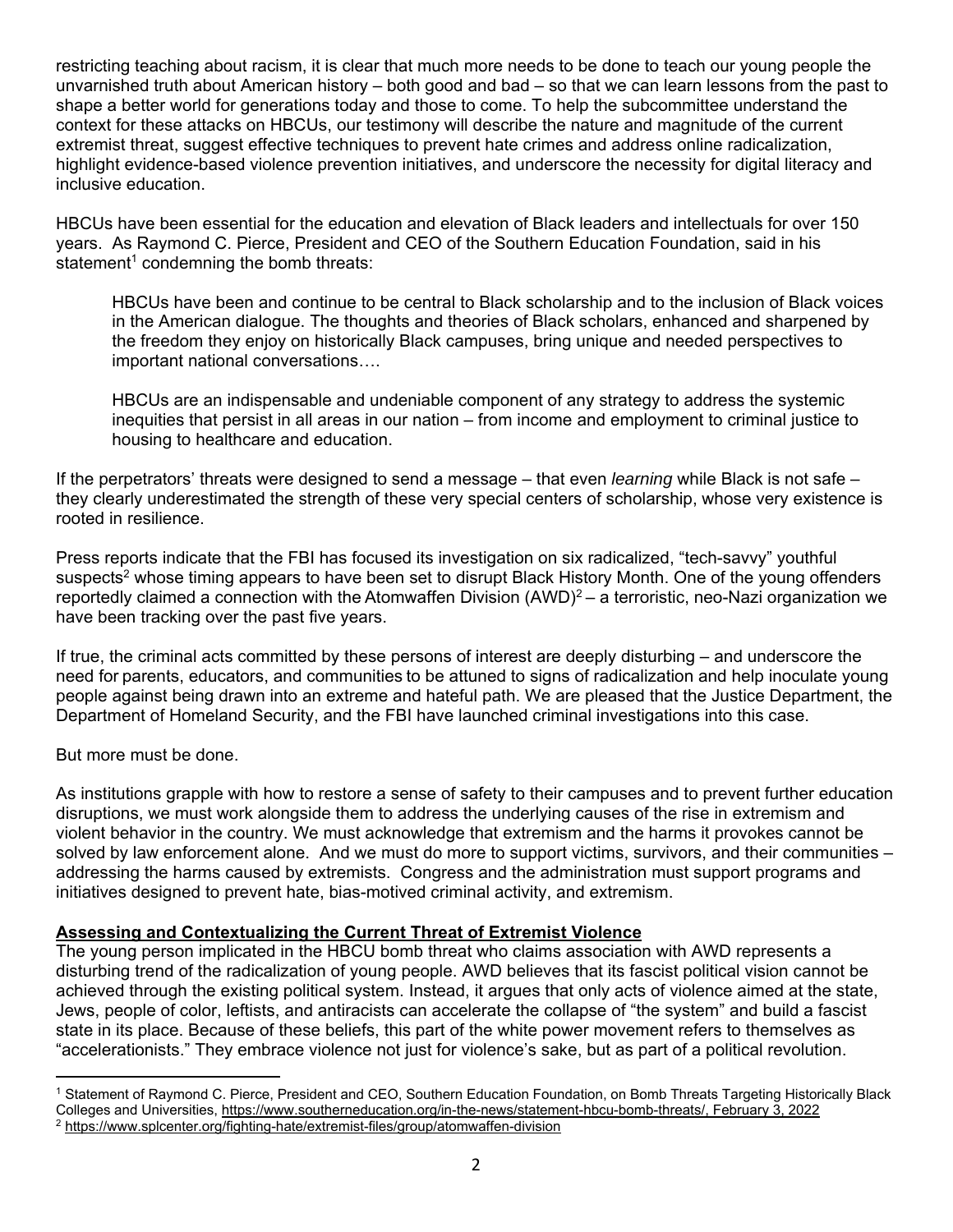restricting teaching about racism, it is clear that much more needs to be done to teach our young people the unvarnished truth about American history – both good and bad – so that we can learn lessons from the past to shape a better world for generations today and those to come. To help the subcommittee understand the context for these attacks on HBCUs, our testimony will describe the nature and magnitude of the current extremist threat, suggest effective techniques to prevent hate crimes and address online radicalization, highlight evidence-based violence prevention initiatives, and underscore the necessity for digital literacy and inclusive education.

HBCUs have been essential for the education and elevation of Black leaders and intellectuals for over 150 years. As Raymond C. Pierce, President and CEO of the Southern Education Foundation, said in his statement<sup>1</sup> condemning the bomb threats:

HBCUs have been and continue to be central to Black scholarship and to the inclusion of Black voices in the American dialogue. The thoughts and theories of Black scholars, enhanced and sharpened by the freedom they enjoy on historically Black campuses, bring unique and needed perspectives to important national conversations….

HBCUs are an indispensable and undeniable component of any strategy to address the systemic inequities that persist in all areas in our nation – from income and employment to criminal justice to housing to healthcare and education.

If the perpetrators' threats were designed to send a message – that even *learning* while Black is not safe – they clearly underestimated the strength of these very special centers of scholarship, whose very existence is rooted in resilience.

Press reports indicate that the FBI has focused its investigation on six radicalized, "tech-savvy" youthful suspects<sup>2</sup> whose timing appears to have been set to disrupt Black History Month. One of the young offenders reportedly claimed a connection with the Atomwaffen Division (AWD)<sup>2</sup> – a terroristic, neo-Nazi organization we have been tracking over the past five years.

If true, the criminal acts committed by these persons of interest are deeply disturbing – and underscore the need for parents, educators, and communities to be attuned to signs of radicalization and help inoculate young people against being drawn into an extreme and hateful path. We are pleased that the Justice Department, the Department of Homeland Security, and the FBI have launched criminal investigations into this case.

But more must be done.

As institutions grapple with how to restore a sense of safety to their campuses and to prevent further education disruptions, we must work alongside them to address the underlying causes of the rise in extremism and violent behavior in the country. We must acknowledge that extremism and the harms it provokes cannot be solved by law enforcement alone. And we must do more to support victims, survivors, and their communities – addressing the harms caused by extremists. Congress and the administration must support programs and initiatives designed to prevent hate, bias-motived criminal activity, and extremism.

# **Assessing and Contextualizing the Current Threat of Extremist Violence**

The young person implicated in the HBCU bomb threat who claims association with AWD represents a disturbing trend of the radicalization of young people. AWD believes that its fascist political vision cannot be achieved through the existing political system. Instead, it argues that only acts of violence aimed at the state, Jews, people of color, leftists, and antiracists can accelerate the collapse of "the system" and build a fascist state in its place. Because of these beliefs, this part of the white power movement refers to themselves as "accelerationists." They embrace violence not just for violence's sake, but as part of a political revolution.

<sup>1</sup> Statement of Raymond C. Pierce, President and CEO, Southern Education Foundation, on Bomb Threats Targeting Historically Black Colleges and Universities, <u>https://www.southerneducation.org/in-the-news/statement-hbcu-bomb-threats/, February 3, 2022</u><br><sup>2</sup> https://www.splcenter.org/fighting-hate/extremist-files/group/atomwaffen-division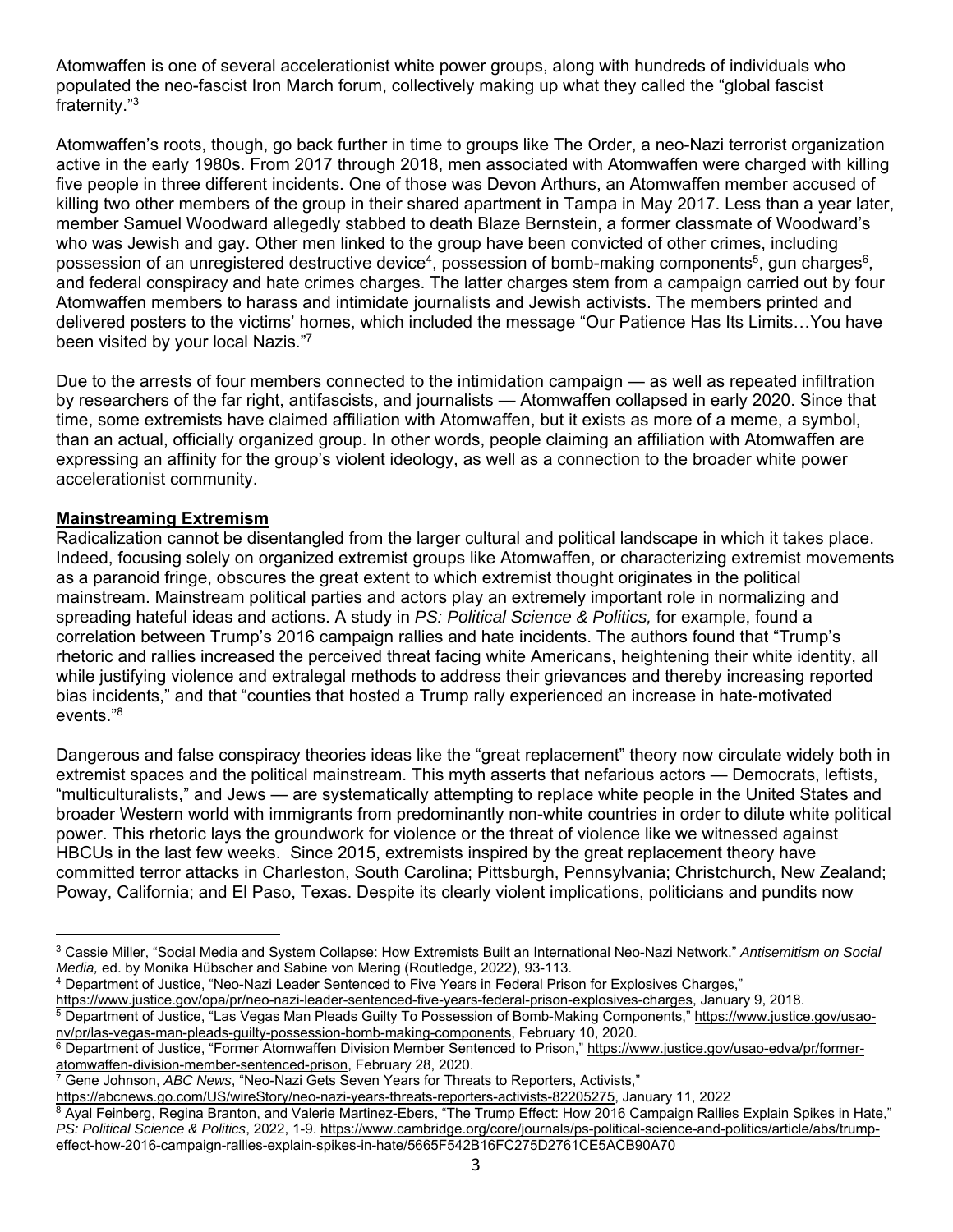Atomwaffen is one of several accelerationist white power groups, along with hundreds of individuals who populated the neo-fascist Iron March forum, collectively making up what they called the "global fascist fraternity."3

Atomwaffen's roots, though, go back further in time to groups like The Order, a neo-Nazi terrorist organization active in the early 1980s. From 2017 through 2018, men associated with Atomwaffen were charged with killing five people in three different incidents. One of those was Devon Arthurs, an Atomwaffen member accused of killing two other members of the group in their shared apartment in Tampa in May 2017. Less than a year later, member Samuel Woodward allegedly stabbed to death Blaze Bernstein, a former classmate of Woodward's who was Jewish and gay. Other men linked to the group have been convicted of other crimes, including possession of an unregistered destructive device<sup>4</sup>, possession of bomb-making components<sup>5</sup>, gun charges<sup>6</sup>, and federal conspiracy and hate crimes charges. The latter charges stem from a campaign carried out by four Atomwaffen members to harass and intimidate journalists and Jewish activists. The members printed and delivered posters to the victims' homes, which included the message "Our Patience Has Its Limits…You have been visited by your local Nazis."7

Due to the arrests of four members connected to the intimidation campaign — as well as repeated infiltration by researchers of the far right, antifascists, and journalists — Atomwaffen collapsed in early 2020. Since that time, some extremists have claimed affiliation with Atomwaffen, but it exists as more of a meme, a symbol, than an actual, officially organized group. In other words, people claiming an affiliation with Atomwaffen are expressing an affinity for the group's violent ideology, as well as a connection to the broader white power accelerationist community.

# **Mainstreaming Extremism**

Radicalization cannot be disentangled from the larger cultural and political landscape in which it takes place. Indeed, focusing solely on organized extremist groups like Atomwaffen, or characterizing extremist movements as a paranoid fringe, obscures the great extent to which extremist thought originates in the political mainstream. Mainstream political parties and actors play an extremely important role in normalizing and spreading hateful ideas and actions. A study in *PS: Political Science & Politics,* for example, found a correlation between Trump's 2016 campaign rallies and hate incidents. The authors found that "Trump's rhetoric and rallies increased the perceived threat facing white Americans, heightening their white identity, all while justifying violence and extralegal methods to address their grievances and thereby increasing reported bias incidents," and that "counties that hosted a Trump rally experienced an increase in hate-motivated events."8

Dangerous and false conspiracy theories ideas like the "great replacement" theory now circulate widely both in extremist spaces and the political mainstream. This myth asserts that nefarious actors — Democrats, leftists, "multiculturalists," and Jews — are systematically attempting to replace white people in the United States and broader Western world with immigrants from predominantly non-white countries in order to dilute white political power. This rhetoric lays the groundwork for violence or the threat of violence like we witnessed against HBCUs in the last few weeks. Since 2015, extremists inspired by the great replacement theory have committed terror attacks in Charleston, South Carolina; Pittsburgh, Pennsylvania; Christchurch, New Zealand; Poway, California; and El Paso, Texas. Despite its clearly violent implications, politicians and pundits now

<sup>3</sup> Cassie Miller, "Social Media and System Collapse: How Extremists Built an International Neo-Nazi Network." *Antisemitism on Social Media,* ed. by Monika Hübscher and Sabine von Mering (Routledge, 2022), 93-113.<br><sup>4</sup> Department of Justice, "Neo-Nazi Leader Sentenced to Five Years in Federal Prison for Explosives Charges,"<br><u>https://www.justice.gov/opa/p</u>

<sup>&</sup>lt;sup>5</sup> Department of Justice, "Las Vegas Man Pleads Guilty To Possession of Bomb-Making Components," https://www.justice.gov/usao-

nv/pr/las-vegas-man-pleads-guilty-possession-bomb-making-components, February 10, 2020.<br><sup>6</sup> Department of Justice, "Former Atomwaffen Division Member Sentenced to Prison," https://www.justice.gov/usao-edva/pr/former-<br>atomw

<sup>&</sup>lt;sup>7</sup> Gene Johnson, ABC News, "Neo-Nazi Gets Seven Years for Threats to Reporters, Activists,"

https://abcnews.go.com/US/wireStory/neo-nazi-years-threats-reporters-activists-82205275, January 11, 2022<br><sup>8</sup> Ayal Feinberg, Regina Branton, and Valerie Martinez-Ebers, "The Trump Effect: How 2016 Campaign Rallies Explain *PS: Political Science & Politics*, 2022, 1-9. https://www.cambridge.org/core/journals/ps-political-science-and-politics/article/abs/trumpeffect-how-2016-campaign-rallies-explain-spikes-in-hate/5665F542B16FC275D2761CE5ACB90A70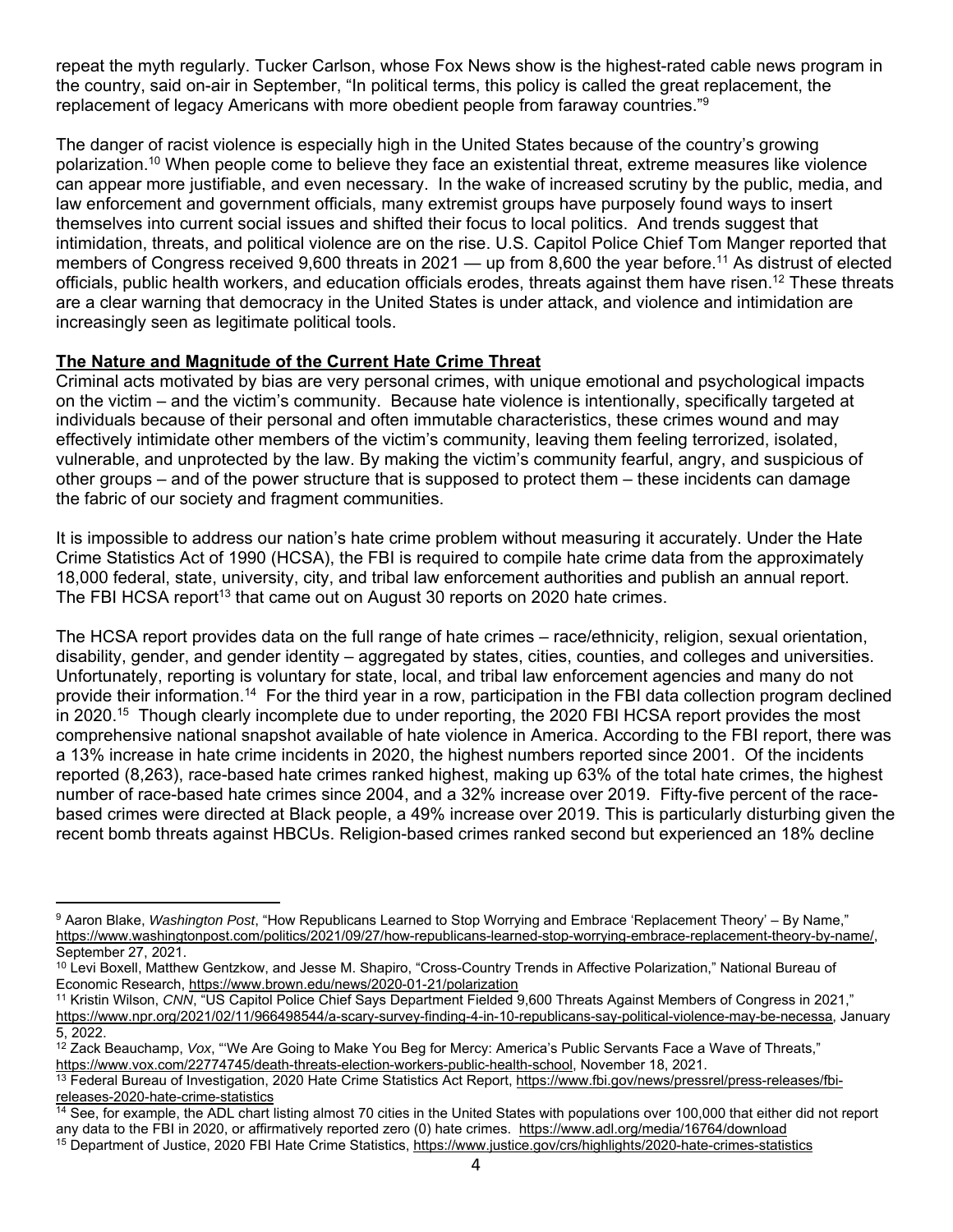repeat the myth regularly. Tucker Carlson, whose Fox News show is the highest-rated cable news program in the country, said on-air in September, "In political terms, this policy is called the great replacement, the replacement of legacy Americans with more obedient people from faraway countries."9

The danger of racist violence is especially high in the United States because of the country's growing polarization.10 When people come to believe they face an existential threat, extreme measures like violence can appear more justifiable, and even necessary. In the wake of increased scrutiny by the public, media, and law enforcement and government officials, many extremist groups have purposely found ways to insert themselves into current social issues and shifted their focus to local politics. And trends suggest that intimidation, threats, and political violence are on the rise. U.S. Capitol Police Chief Tom Manger reported that members of Congress received 9,600 threats in 2021 — up from 8,600 the year before.11 As distrust of elected officials, public health workers, and education officials erodes, threats against them have risen.<sup>12</sup> These threats are a clear warning that democracy in the United States is under attack, and violence and intimidation are increasingly seen as legitimate political tools.

# **The Nature and Magnitude of the Current Hate Crime Threat**

Criminal acts motivated by bias are very personal crimes, with unique emotional and psychological impacts on the victim – and the victim's community. Because hate violence is intentionally, specifically targeted at individuals because of their personal and often immutable characteristics, these crimes wound and may effectively intimidate other members of the victim's community, leaving them feeling terrorized, isolated, vulnerable, and unprotected by the law. By making the victim's community fearful, angry, and suspicious of other groups – and of the power structure that is supposed to protect them – these incidents can damage the fabric of our society and fragment communities.

It is impossible to address our nation's hate crime problem without measuring it accurately. Under the Hate Crime Statistics Act of 1990 (HCSA), the FBI is required to compile hate crime data from the approximately 18,000 federal, state, university, city, and tribal law enforcement authorities and publish an annual report. The FBI HCSA report<sup>13</sup> that came out on August 30 reports on 2020 hate crimes.

The HCSA report provides data on the full range of hate crimes – race/ethnicity, religion, sexual orientation, disability, gender, and gender identity – aggregated by states, cities, counties, and colleges and universities. Unfortunately, reporting is voluntary for state, local, and tribal law enforcement agencies and many do not provide their information.14 For the third year in a row, participation in the FBI data collection program declined in 2020.<sup>15</sup> Though clearly incomplete due to under reporting, the 2020 FBI HCSA report provides the most comprehensive national snapshot available of hate violence in America. According to the FBI report, there was a 13% increase in hate crime incidents in 2020, the highest numbers reported since 2001. Of the incidents reported (8,263), race-based hate crimes ranked highest, making up 63% of the total hate crimes, the highest number of race-based hate crimes since 2004, and a 32% increase over 2019. Fifty-five percent of the racebased crimes were directed at Black people, a 49% increase over 2019. This is particularly disturbing given the recent bomb threats against HBCUs. Religion-based crimes ranked second but experienced an 18% decline

<sup>9</sup> Aaron Blake, *Washington Post*, "How Republicans Learned to Stop Worrying and Embrace 'Replacement Theory' – By Name," https://www.washingtonpost.com/politics/2021/09/27/how-republicans-learned-stop-worrying-embrace-replacement-theory-by-name/, September 27, 2021.

<sup>&</sup>lt;sup>10</sup> Levi Boxell, Matthew Gentzkow, and Jesse M. Shapiro, "Cross-Country Trends in Affective Polarization," National Bureau of<br>Economic Research, <u>https://www.brown.edu/news/2020-01-21/polarization</u>

<sup>&</sup>lt;sup>11</sup> Kristin Wilson, *CNN*, "US Capitol Police Chief Says Department Fielded 9,600 Threats Against Members of Congress in 2021," https://www.npr.org/2021/02/11/966498544/a-scary-survey-finding-4-in-10-republicans-say-political-violence-may-be-necessa, January 5, 2022.

<sup>&</sup>lt;sup>12</sup> Zack Beauchamp, *Vox*, "We Are Going to Make You Beg for Mercy: America's Public Servants Face a Wave of Threats,"<br>https://www.vox.com/22774745/death-threats-election-workers-public-health-school, November 18, 2021.

<sup>&</sup>lt;sup>13</sup> Federal Bureau of Investigation, 2020 Hate Crime Statistics Act Report, https://www.fbi.gov/news/pressrel/press-releases/fbireleases-2020-hate-crime-statistics

<sup>&</sup>lt;sup>14</sup> See, for example, the ADL chart listing almost 70 cities in the United States with populations over 100,000 that either did not report any data to the FBI in 2020, or affirmatively reported zero (0) hate crimes. https://www.adl.org/media/16764/download<br><sup>15</sup> Department of Justice, 2020 FBI Hate Crime Statistics, https://www.justice.gov/crs/highlights/2020-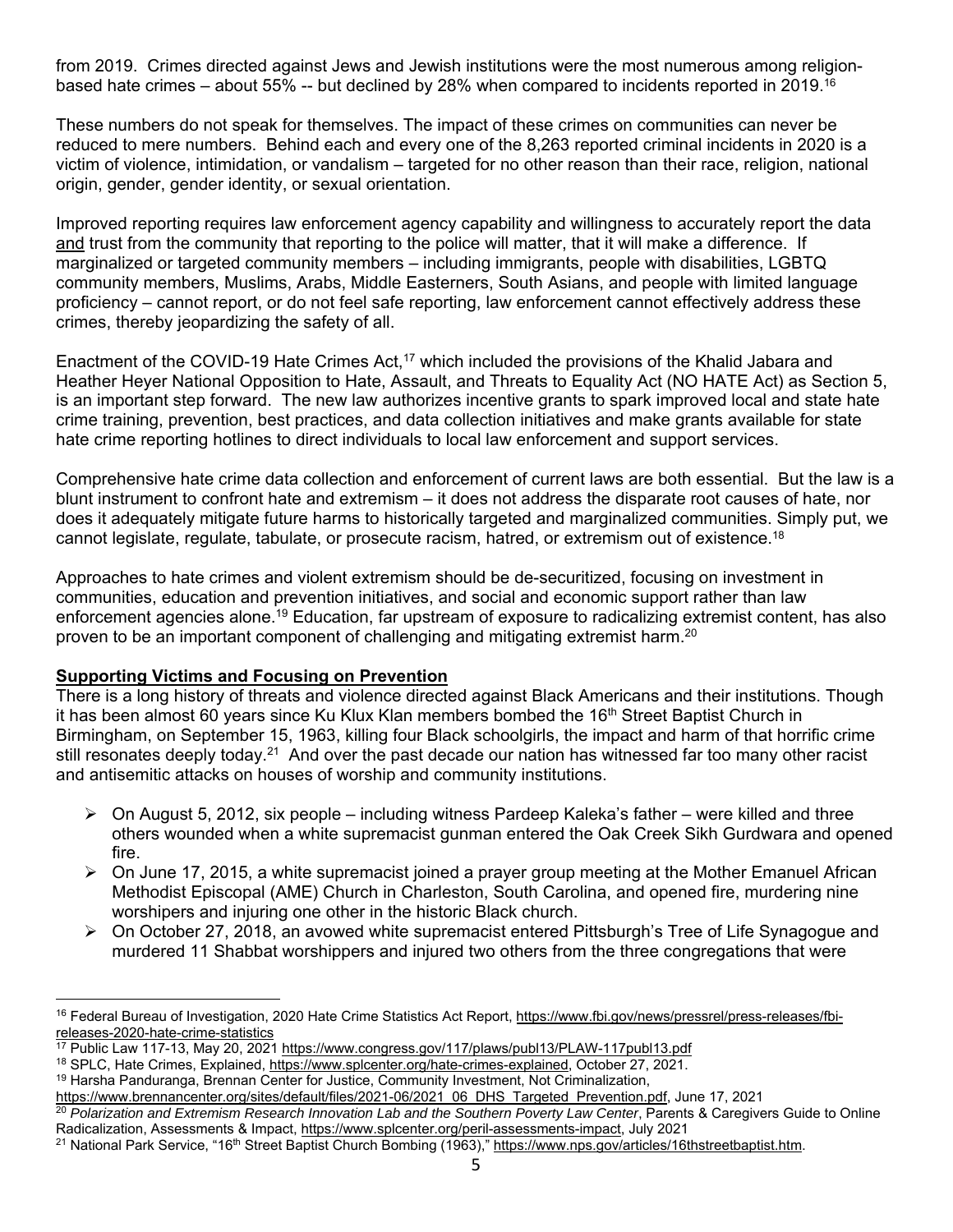from 2019. Crimes directed against Jews and Jewish institutions were the most numerous among religionbased hate crimes – about 55% -- but declined by 28% when compared to incidents reported in 2019.16

These numbers do not speak for themselves. The impact of these crimes on communities can never be reduced to mere numbers. Behind each and every one of the 8,263 reported criminal incidents in 2020 is a victim of violence, intimidation, or vandalism – targeted for no other reason than their race, religion, national origin, gender, gender identity, or sexual orientation.

Improved reporting requires law enforcement agency capability and willingness to accurately report the data and trust from the community that reporting to the police will matter, that it will make a difference. If marginalized or targeted community members – including immigrants, people with disabilities, LGBTQ community members, Muslims, Arabs, Middle Easterners, South Asians, and people with limited language proficiency – cannot report, or do not feel safe reporting, law enforcement cannot effectively address these crimes, thereby jeopardizing the safety of all.

Enactment of the COVID-19 Hate Crimes Act,<sup>17</sup> which included the provisions of the Khalid Jabara and Heather Heyer National Opposition to Hate, Assault, and Threats to Equality Act (NO HATE Act) as Section 5, is an important step forward. The new law authorizes incentive grants to spark improved local and state hate crime training, prevention, best practices, and data collection initiatives and make grants available for state hate crime reporting hotlines to direct individuals to local law enforcement and support services.

Comprehensive hate crime data collection and enforcement of current laws are both essential. But the law is a blunt instrument to confront hate and extremism – it does not address the disparate root causes of hate, nor does it adequately mitigate future harms to historically targeted and marginalized communities. Simply put, we cannot legislate, regulate, tabulate, or prosecute racism, hatred, or extremism out of existence.18

Approaches to hate crimes and violent extremism should be de-securitized, focusing on investment in communities, education and prevention initiatives, and social and economic support rather than law enforcement agencies alone.19 Education, far upstream of exposure to radicalizing extremist content, has also proven to be an important component of challenging and mitigating extremist harm.<sup>20</sup>

# **Supporting Victims and Focusing on Prevention**

There is a long history of threats and violence directed against Black Americans and their institutions. Though it has been almost 60 years since Ku Klux Klan members bombed the 16<sup>th</sup> Street Baptist Church in Birmingham, on September 15, 1963, killing four Black schoolgirls, the impact and harm of that horrific crime still resonates deeply today.<sup>21</sup> And over the past decade our nation has witnessed far too many other racist and antisemitic attacks on houses of worship and community institutions.

- $\triangleright$  On August 5, 2012, six people including witness Pardeep Kaleka's father were killed and three others wounded when a white supremacist gunman entered the Oak Creek Sikh Gurdwara and opened fire.
- $\triangleright$  On June 17, 2015, a white supremacist joined a prayer group meeting at the Mother Emanuel African Methodist Episcopal (AME) Church in Charleston, South Carolina, and opened fire, murdering nine worshipers and injuring one other in the historic Black church.
- $\triangleright$  On October 27, 2018, an avowed white supremacist entered Pittsburgh's Tree of Life Synagogue and murdered 11 Shabbat worshippers and injured two others from the three congregations that were

<sup>&</sup>lt;sup>16</sup> Federal Bureau of Investigation, 2020 Hate Crime Statistics Act Report, https://www.fbi.gov/news/pressrel/press-releases/fbireleases-2020-hate-crime-statistics<br><sup>17</sup> Public Law 117-13, May 20, 2021 <u>https://www.congress.gov/117/plaws/publ13/PLAW-117publ13.pdf</u>

<sup>&</sup>lt;sup>18</sup> SPLC, Hate Crimes, Explained, <u>https://www.splcenter.org/hate-crimes-explained</u>, October 27, 2021.<br><sup>19</sup> Harsha Panduranga, Brennan Center for Justice, Community Investment, Not Criminalization,<br>https://www.brennancent

<sup>&</sup>lt;sup>20</sup> Polarization and Extremism Research Innovation Lab and the Southern Poverty Law Center, Parents & Caregivers Guide to Online Radicalization, Assessments & Impact, <u>https://www.splcenter.org/peril-assessments-impact</u>, July 2021<br><sup>21</sup> National Park Service, "16<sup>th</sup> Street Baptist Church Bombing (1963)," <u>https://www.nps.gov/articles/16thstreetbapti</u>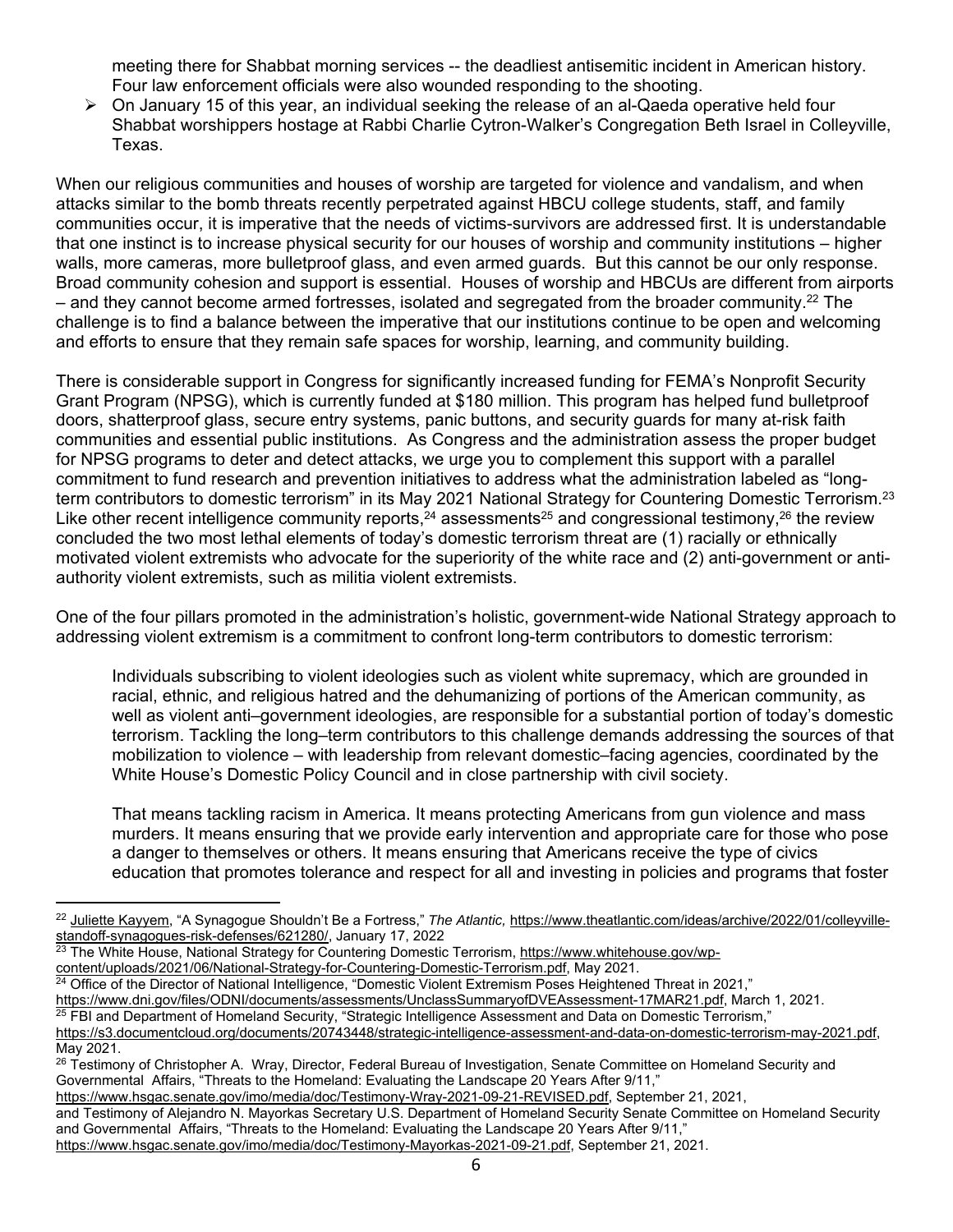meeting there for Shabbat morning services -- the deadliest antisemitic incident in American history. Four law enforcement officials were also wounded responding to the shooting.

 $\triangleright$  On January 15 of this year, an individual seeking the release of an al-Qaeda operative held four Shabbat worshippers hostage at Rabbi Charlie Cytron-Walker's Congregation Beth Israel in Colleyville, Texas.

When our religious communities and houses of worship are targeted for violence and vandalism, and when attacks similar to the bomb threats recently perpetrated against HBCU college students, staff, and family communities occur, it is imperative that the needs of victims-survivors are addressed first. It is understandable that one instinct is to increase physical security for our houses of worship and community institutions – higher walls, more cameras, more bulletproof glass, and even armed guards. But this cannot be our only response. Broad community cohesion and support is essential. Houses of worship and HBCUs are different from airports  $-$  and they cannot become armed fortresses, isolated and segregated from the broader community.<sup>22</sup> The challenge is to find a balance between the imperative that our institutions continue to be open and welcoming and efforts to ensure that they remain safe spaces for worship, learning, and community building.

There is considerable support in Congress for significantly increased funding for FEMA's Nonprofit Security Grant Program (NPSG), which is currently funded at \$180 million. This program has helped fund bulletproof doors, shatterproof glass, secure entry systems, panic buttons, and security guards for many at-risk faith communities and essential public institutions. As Congress and the administration assess the proper budget for NPSG programs to deter and detect attacks, we urge you to complement this support with a parallel commitment to fund research and prevention initiatives to address what the administration labeled as "longterm contributors to domestic terrorism" in its May 2021 National Strategy for Countering Domestic Terrorism.<sup>23</sup> Like other recent intelligence community reports,  $24$  assessments  $25$  and congressional testimony,  $26$  the review concluded the two most lethal elements of today's domestic terrorism threat are (1) racially or ethnically motivated violent extremists who advocate for the superiority of the white race and (2) anti-government or antiauthority violent extremists, such as militia violent extremists.

One of the four pillars promoted in the administration's holistic, government-wide National Strategy approach to addressing violent extremism is a commitment to confront long-term contributors to domestic terrorism:

Individuals subscribing to violent ideologies such as violent white supremacy, which are grounded in racial, ethnic, and religious hatred and the dehumanizing of portions of the American community, as well as violent anti–government ideologies, are responsible for a substantial portion of today's domestic terrorism. Tackling the long–term contributors to this challenge demands addressing the sources of that mobilization to violence – with leadership from relevant domestic–facing agencies, coordinated by the White House's Domestic Policy Council and in close partnership with civil society.

That means tackling racism in America. It means protecting Americans from gun violence and mass murders. It means ensuring that we provide early intervention and appropriate care for those who pose a danger to themselves or others. It means ensuring that Americans receive the type of civics education that promotes tolerance and respect for all and investing in policies and programs that foster

<sup>23</sup> The White House, National Strategy for Countering Domestic Terrorism, https://www.whitehouse.gov/wp-<br>content/uploads/2021/06/National-Strategy-for-Countering-Domestic-Terrorism.pdf, May 2021.

<sup>24</sup> Office of the Director of National Intelligence, "Domestic Violent Extremism Poses Heightened Threat in 2021,"<br>https://www.dni.gov/files/ODNI/documents/assessments/UnclassSummaryofDVEAssessment-17MAR21.pdf, March 1, 2

<sup>22</sup> Juliette Kayyem, "A Synagogue Shouldn't Be a Fortress," *The Atlantic,* https://www.theatlantic.com/ideas/archive/2022/01/colleyvillestandoff-synagogues-risk-defenses/621280/, January 17, 2022

<sup>&</sup>lt;sup>25</sup> FBI and Department of Homeland Security, "Strategic Intelligence Assessment and Data on Domestic Terrorism,"

https://s3.documentcloud.org/documents/20743448/strategic-intelligence-assessment-and-data-on-domestic-terrorism-may-2021.pdf, May 2021.

<sup>&</sup>lt;sup>26</sup> Testimony of Christopher A. Wray, Director, Federal Bureau of Investigation, Senate Committee on Homeland Security and Governmental Affairs, "Threats to the Homeland: Evaluating the Landscape 20 Years After 9/11,"

https://www.hsgac.senate.gov/imo/media/doc/Testimony-Wray-2021-09-21-REVISED.pdf, September 21, 2021,

and Testimony of Alejandro N. Mayorkas Secretary U.S. Department of Homeland Security Senate Committee on Homeland Security and Governmental Affairs, "Threats to the Homeland: Evaluating the Landscape 20 Years After 9/11,"

https://www.hsgac.senate.gov/imo/media/doc/Testimony-Mayorkas-2021-09-21.pdf, September 21, 2021.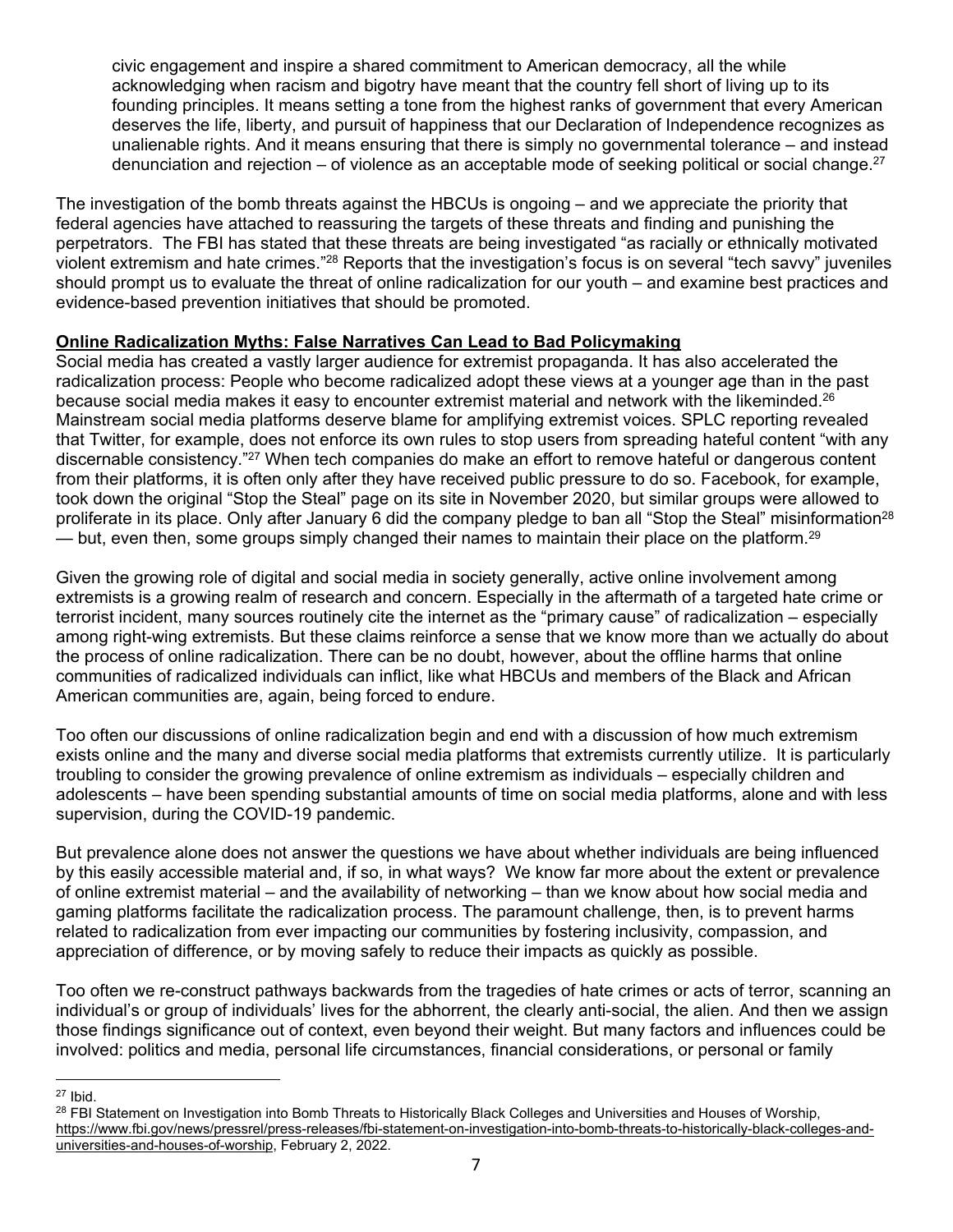civic engagement and inspire a shared commitment to American democracy, all the while acknowledging when racism and bigotry have meant that the country fell short of living up to its founding principles. It means setting a tone from the highest ranks of government that every American deserves the life, liberty, and pursuit of happiness that our Declaration of Independence recognizes as unalienable rights. And it means ensuring that there is simply no governmental tolerance – and instead denunciation and rejection – of violence as an acceptable mode of seeking political or social change.  $27$ 

The investigation of the bomb threats against the HBCUs is ongoing – and we appreciate the priority that federal agencies have attached to reassuring the targets of these threats and finding and punishing the perpetrators. The FBI has stated that these threats are being investigated "as racially or ethnically motivated violent extremism and hate crimes."28 Reports that the investigation's focus is on several "tech savvy" juveniles should prompt us to evaluate the threat of online radicalization for our youth – and examine best practices and evidence-based prevention initiatives that should be promoted.

# **Online Radicalization Myths: False Narratives Can Lead to Bad Policymaking**

Social media has created a vastly larger audience for extremist propaganda. It has also accelerated the radicalization process: People who become radicalized adopt these views at a younger age than in the past because social media makes it easy to encounter extremist material and network with the likeminded.<sup>26</sup> Mainstream social media platforms deserve blame for amplifying extremist voices. SPLC reporting revealed that Twitter, for example, does not enforce its own rules to stop users from spreading hateful content "with any discernable consistency."27 When tech companies do make an effort to remove hateful or dangerous content from their platforms, it is often only after they have received public pressure to do so. Facebook, for example, took down the original "Stop the Steal" page on its site in November 2020, but similar groups were allowed to proliferate in its place. Only after January 6 did the company pledge to ban all "Stop the Steal" misinformation<sup>28</sup>  $-$  but, even then, some groups simply changed their names to maintain their place on the platform.<sup>29</sup>

Given the growing role of digital and social media in society generally, active online involvement among extremists is a growing realm of research and concern. Especially in the aftermath of a targeted hate crime or terrorist incident, many sources routinely cite the internet as the "primary cause" of radicalization – especially among right-wing extremists. But these claims reinforce a sense that we know more than we actually do about the process of online radicalization. There can be no doubt, however, about the offline harms that online communities of radicalized individuals can inflict, like what HBCUs and members of the Black and African American communities are, again, being forced to endure.

Too often our discussions of online radicalization begin and end with a discussion of how much extremism exists online and the many and diverse social media platforms that extremists currently utilize. It is particularly troubling to consider the growing prevalence of online extremism as individuals – especially children and adolescents – have been spending substantial amounts of time on social media platforms, alone and with less supervision, during the COVID-19 pandemic.

But prevalence alone does not answer the questions we have about whether individuals are being influenced by this easily accessible material and, if so, in what ways? We know far more about the extent or prevalence of online extremist material – and the availability of networking – than we know about how social media and gaming platforms facilitate the radicalization process. The paramount challenge, then, is to prevent harms related to radicalization from ever impacting our communities by fostering inclusivity, compassion, and appreciation of difference, or by moving safely to reduce their impacts as quickly as possible.

Too often we re-construct pathways backwards from the tragedies of hate crimes or acts of terror, scanning an individual's or group of individuals' lives for the abhorrent, the clearly anti-social, the alien. And then we assign those findings significance out of context, even beyond their weight. But many factors and influences could be involved: politics and media, personal life circumstances, financial considerations, or personal or family

<sup>27</sup> Ibid.

<sup>&</sup>lt;sup>28</sup> FBI Statement on Investigation into Bomb Threats to Historically Black Colleges and Universities and Houses of Worship, https://www.fbi.gov/news/pressrel/press-releases/fbi-statement-on-investigation-into-bomb-threats-to-historically-black-colleges-anduniversities-and-houses-of-worship, February 2, 2022.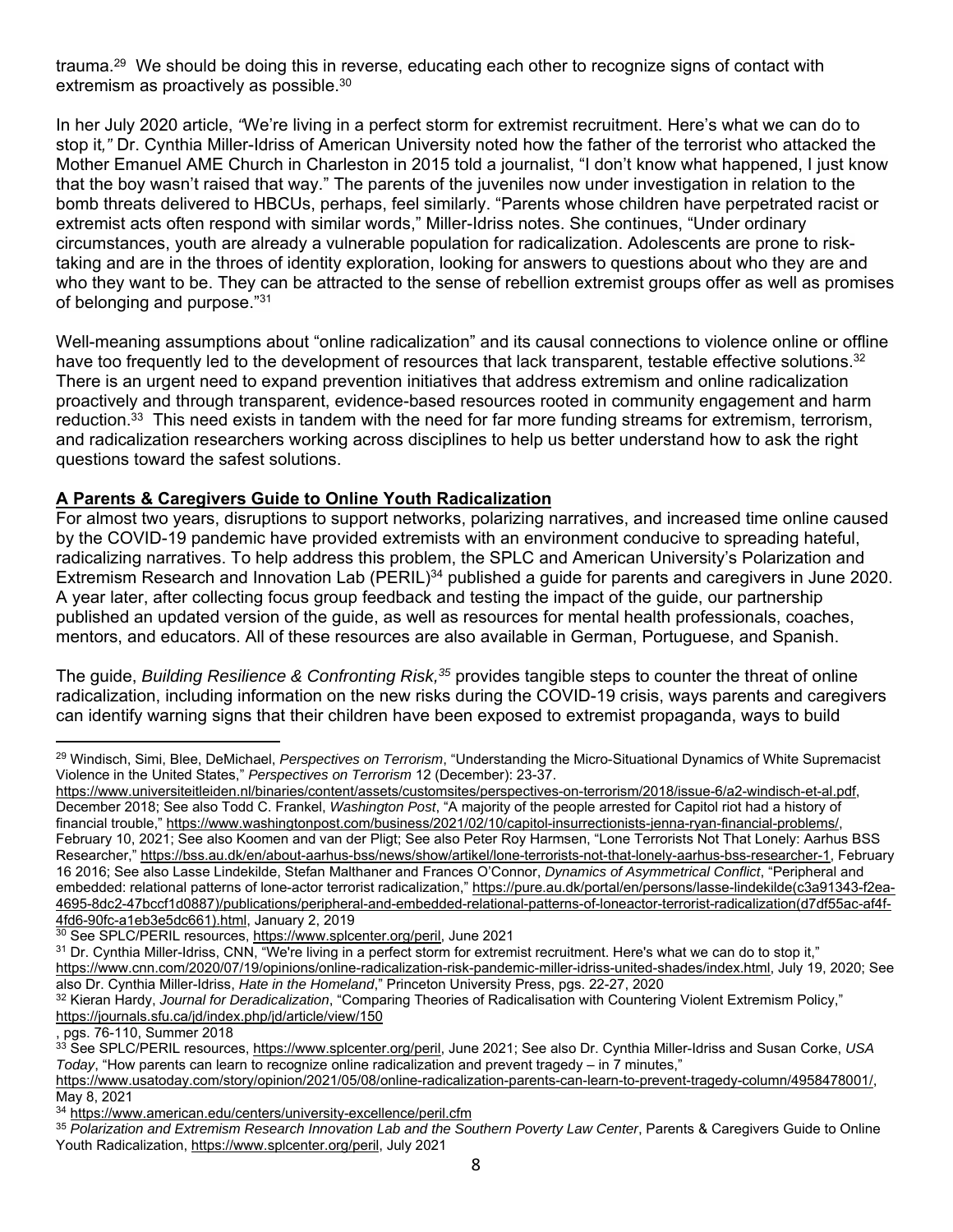trauma.29 We should be doing this in reverse, educating each other to recognize signs of contact with extremism as proactively as possible.30

In her July 2020 article, *"*We're living in a perfect storm for extremist recruitment. Here's what we can do to stop it*,"* Dr. Cynthia Miller-Idriss of American University noted how the father of the terrorist who attacked the Mother Emanuel AME Church in Charleston in 2015 told a journalist, "I don't know what happened, I just know that the boy wasn't raised that way." The parents of the juveniles now under investigation in relation to the bomb threats delivered to HBCUs, perhaps, feel similarly. "Parents whose children have perpetrated racist or extremist acts often respond with similar words," Miller-Idriss notes. She continues, "Under ordinary circumstances, youth are already a vulnerable population for radicalization. Adolescents are prone to risktaking and are in the throes of identity exploration, looking for answers to questions about who they are and who they want to be. They can be attracted to the sense of rebellion extremist groups offer as well as promises of belonging and purpose."31

Well-meaning assumptions about "online radicalization" and its causal connections to violence online or offline have too frequently led to the development of resources that lack transparent, testable effective solutions.<sup>32</sup> There is an urgent need to expand prevention initiatives that address extremism and online radicalization proactively and through transparent, evidence-based resources rooted in community engagement and harm reduction.<sup>33</sup> This need exists in tandem with the need for far more funding streams for extremism, terrorism, and radicalization researchers working across disciplines to help us better understand how to ask the right questions toward the safest solutions.

# **A Parents & Caregivers Guide to Online Youth Radicalization**

For almost two years, disruptions to support networks, polarizing narratives, and increased time online caused by the COVID-19 pandemic have provided extremists with an environment conducive to spreading hateful, radicalizing narratives. To help address this problem, the SPLC and American University's Polarization and Extremism Research and Innovation Lab (PERIL)<sup>34</sup> published a guide for parents and caregivers in June 2020. A year later, after collecting focus group feedback and testing the impact of the guide, our partnership published an updated version of the guide, as well as resources for mental health professionals, coaches, mentors, and educators. All of these resources are also available in German, Portuguese, and Spanish.

The guide, *Building Resilience & Confronting Risk,35* provides tangible steps to counter the threat of online radicalization, including information on the new risks during the COVID-19 crisis, ways parents and caregivers can identify warning signs that their children have been exposed to extremist propaganda, ways to build

<sup>29</sup> Windisch, Simi, Blee, DeMichael, *Perspectives on Terrorism*, "Understanding the Micro-Situational Dynamics of White Supremacist Violence in the United States," *Perspectives on Terrorism* 12 (December): 23-37.

https://www.universiteitleiden.nl/binaries/content/assets/customsites/perspectives-on-terrorism/2018/issue-6/a2-windisch-et-al.pdf, December 2018; See also Todd C. Frankel, *Washington Post*, "A majority of the people arrested for Capitol riot had a history of financial trouble," https://www.washingtonpost.com/business/2021/02/10/capitol-insurrectionists-jenna-ryan-financial-problems/, February 10, 2021; See also Koomen and van der Pligt; See also Peter Roy Harmsen, "Lone Terrorists Not That Lonely: Aarhus BSS Researcher," https://bss.au.dk/en/about-aarhus-bss/news/show/artikel/lone-terrorists-not-that-lonely-aarhus-bss-researcher-1, February 16 2016; See also Lasse Lindekilde, Stefan Malthaner and Frances O'Connor, *Dynamics of Asymmetrical Conflict*, "Peripheral and embedded: relational patterns of lone-actor terrorist radicalization," https://pure.au.dk/portal/en/persons/lasse-lindekilde(c3a91343-f2ea-4695-8dc2-47bccf1d0887)/publications/peripheral-and-embedded-relational-patterns-of-loneactor-terrorist-radicalization(d7df55ac-af4f-

<sup>4</sup>fd6-90fc-a1eb3e5dc661).html, January 2, 2019<br><sup>30</sup> See SPLC/PERIL resources, <u>https://www.splcenter.org/peril</u>, June 2021

 $31$  Dr. Cynthia Miller-Idriss, CNN, "We're living in a perfect storm for extremist recruitment. Here's what we can do to stop it," https://www.cnn.com/2020/07/19/opinions/online-radicalization-risk-pandemic-miller-idriss-united-shades/index.html, July 19, 2020; See<br>also Dr. Cynthia Miller-Idriss, *Hate in the Homeland*," Princeton University Press, pg

<sup>32</sup> Kieran Hardy, Journal for Deradicalization, "Comparing Theories of Radicalisation with Countering Violent Extremism Policy," https://journals.sfu.ca/jd/index.php/jd/article/view/150

<sup>,</sup> pgs. 76-110, Summer 2018

<sup>33</sup> See SPLC/PERIL resources, https://www.splcenter.org/peril, June 2021; See also Dr. Cynthia Miller-Idriss and Susan Corke, *USA Today*, "How parents can learn to recognize online radicalization and prevent tragedy – in 7 minutes,"

https://www.usatoday.com/story/opinion/2021/05/08/online-radicalization-parents-can-learn-to-prevent-tragedy-column/4958478001/, May 8, 2021<br><sup>34</sup> https://www.american.edu/centers/university-excellence/peril.cfm

<sup>&</sup>lt;sup>35</sup> Polarization and Extremism Research Innovation Lab and the Southern Poverty Law Center, Parents & Caregivers Guide to Online Youth Radicalization, https://www.splcenter.org/peril, July 2021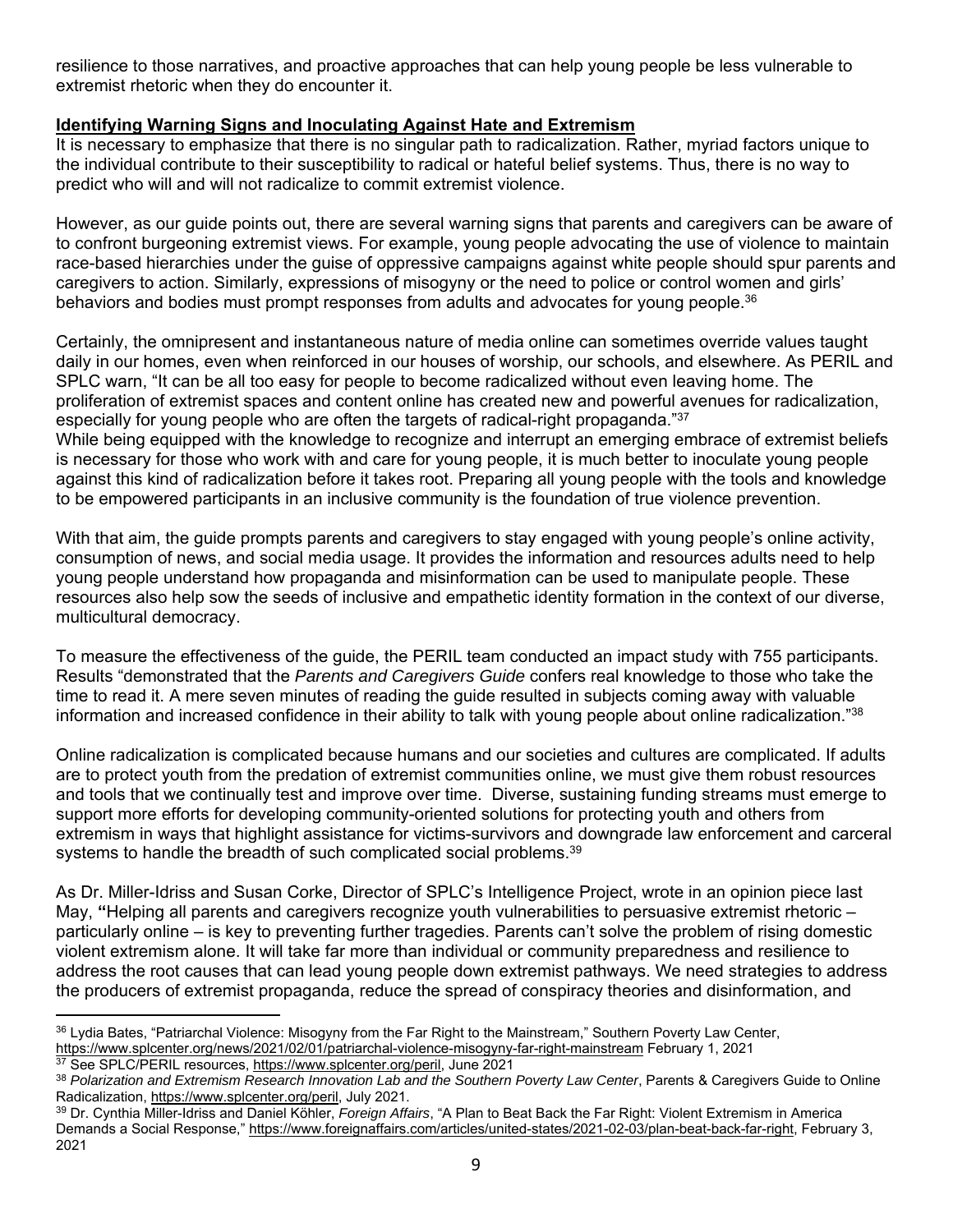resilience to those narratives, and proactive approaches that can help young people be less vulnerable to extremist rhetoric when they do encounter it.

# **Identifying Warning Signs and Inoculating Against Hate and Extremism**

It is necessary to emphasize that there is no singular path to radicalization. Rather, myriad factors unique to the individual contribute to their susceptibility to radical or hateful belief systems. Thus, there is no way to predict who will and will not radicalize to commit extremist violence.

However, as our guide points out, there are several warning signs that parents and caregivers can be aware of to confront burgeoning extremist views. For example, young people advocating the use of violence to maintain race-based hierarchies under the guise of oppressive campaigns against white people should spur parents and caregivers to action. Similarly, expressions of misogyny or the need to police or control women and girls' behaviors and bodies must prompt responses from adults and advocates for young people.<sup>36</sup>

Certainly, the omnipresent and instantaneous nature of media online can sometimes override values taught daily in our homes, even when reinforced in our houses of worship, our schools, and elsewhere. As PERIL and SPLC warn, "It can be all too easy for people to become radicalized without even leaving home. The proliferation of extremist spaces and content online has created new and powerful avenues for radicalization, especially for young people who are often the targets of radical-right propaganda."37 While being equipped with the knowledge to recognize and interrupt an emerging embrace of extremist beliefs

is necessary for those who work with and care for young people, it is much better to inoculate young people against this kind of radicalization before it takes root. Preparing all young people with the tools and knowledge to be empowered participants in an inclusive community is the foundation of true violence prevention.

With that aim, the quide prompts parents and caregivers to stay engaged with young people's online activity, consumption of news, and social media usage. It provides the information and resources adults need to help young people understand how propaganda and misinformation can be used to manipulate people. These resources also help sow the seeds of inclusive and empathetic identity formation in the context of our diverse, multicultural democracy.

To measure the effectiveness of the guide, the PERIL team conducted an impact study with 755 participants. Results "demonstrated that the *Parents and Caregivers Guide* confers real knowledge to those who take the time to read it. A mere seven minutes of reading the guide resulted in subjects coming away with valuable information and increased confidence in their ability to talk with young people about online radicalization."38

Online radicalization is complicated because humans and our societies and cultures are complicated. If adults are to protect youth from the predation of extremist communities online, we must give them robust resources and tools that we continually test and improve over time. Diverse, sustaining funding streams must emerge to support more efforts for developing community-oriented solutions for protecting youth and others from extremism in ways that highlight assistance for victims-survivors and downgrade law enforcement and carceral systems to handle the breadth of such complicated social problems.<sup>39</sup>

As Dr. Miller-Idriss and Susan Corke, Director of SPLC's Intelligence Project, wrote in an opinion piece last May, **"**Helping all parents and caregivers recognize youth vulnerabilities to persuasive extremist rhetoric – particularly online – is key to preventing further tragedies. Parents can't solve the problem of rising domestic violent extremism alone. It will take far more than individual or community preparedness and resilience to address the root causes that can lead young people down extremist pathways. We need strategies to address the producers of extremist propaganda, reduce the spread of conspiracy theories and disinformation, and

<sup>&</sup>lt;sup>36</sup> Lydia Bates, "Patriarchal Violence: Misogyny from the Far Right to the Mainstream," Southern Poverty Law Center,<br>https://www.splcenter.org/news/2021/02/01/patriarchal-violence-misogyny-far-right-mainstream February 1,

 $\frac{37}{37}$  See SPLC/PERIL resources, https://www.splcenter.org/peril, June 2021<br><sup>38</sup> Polarization and Extremism Research Innovation Lab and the Southern Poverty Law Center, Parents & Caregivers Guide to Online Radicalization, https://www.splcenter.org/peril, July 2021.

<sup>39</sup> Dr. Cynthia Miller-Idriss and Daniel Köhler, *Foreign Affairs*, "A Plan to Beat Back the Far Right: Violent Extremism in America Demands a Social Response," https://www.foreignaffairs.com/articles/united-states/2021-02-03/plan-beat-back-far-right, February 3, 2021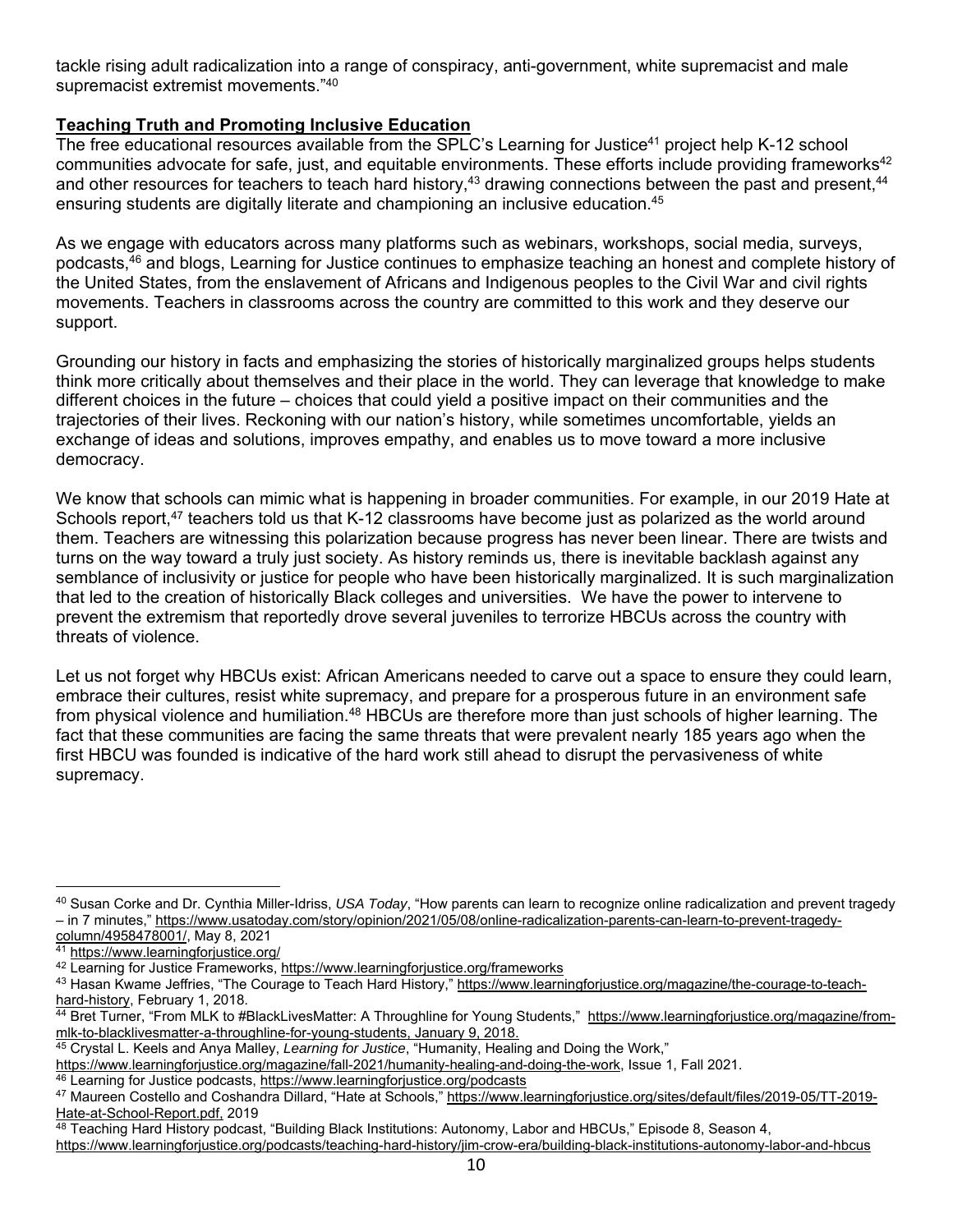tackle rising adult radicalization into a range of conspiracy, anti-government, white supremacist and male supremacist extremist movements."40

# **Teaching Truth and Promoting Inclusive Education**

The free educational resources available from the SPLC's Learning for Justice<sup>41</sup> project help K-12 school communities advocate for safe, just, and equitable environments. These efforts include providing frameworks $42$ and other resources for teachers to teach hard history,<sup>43</sup> drawing connections between the past and present,<sup>44</sup> ensuring students are digitally literate and championing an inclusive education.45

As we engage with educators across many platforms such as webinars, workshops, social media, surveys, podcasts,46 and blogs, Learning for Justice continues to emphasize teaching an honest and complete history of the United States, from the enslavement of Africans and Indigenous peoples to the Civil War and civil rights movements. Teachers in classrooms across the country are committed to this work and they deserve our support.

Grounding our history in facts and emphasizing the stories of historically marginalized groups helps students think more critically about themselves and their place in the world. They can leverage that knowledge to make different choices in the future – choices that could yield a positive impact on their communities and the trajectories of their lives. Reckoning with our nation's history, while sometimes uncomfortable, yields an exchange of ideas and solutions, improves empathy, and enables us to move toward a more inclusive democracy.

We know that schools can mimic what is happening in broader communities. For example, in our 2019 Hate at Schools report,<sup>47</sup> teachers told us that K-12 classrooms have become just as polarized as the world around them. Teachers are witnessing this polarization because progress has never been linear. There are twists and turns on the way toward a truly just society. As history reminds us, there is inevitable backlash against any semblance of inclusivity or justice for people who have been historically marginalized. It is such marginalization that led to the creation of historically Black colleges and universities. We have the power to intervene to prevent the extremism that reportedly drove several juveniles to terrorize HBCUs across the country with threats of violence.

Let us not forget why HBCUs exist: African Americans needed to carve out a space to ensure they could learn, embrace their cultures, resist white supremacy, and prepare for a prosperous future in an environment safe from physical violence and humiliation.<sup>48</sup> HBCUs are therefore more than just schools of higher learning. The fact that these communities are facing the same threats that were prevalent nearly 185 years ago when the first HBCU was founded is indicative of the hard work still ahead to disrupt the pervasiveness of white supremacy.

<sup>40</sup> Susan Corke and Dr. Cynthia Miller-Idriss, *USA Today*, "How parents can learn to recognize online radicalization and prevent tragedy – in 7 minutes," https://www.usatoday.com/story/opinion/2021/05/08/online-radicalization-parents-can-learn-to-prevent-tragedy-<br>column/4958478001/, May 8, 2021

<sup>41</sup> https://www.learningforjustice.org/<br><sup>42</sup> Learning for Justice Frameworks, https://www.learningforjustice.org/frameworks

<sup>43</sup> Hasan Kwame Jeffries, "The Courage to Teach Hard History," https://www.learningforjustice.org/magazine/the-courage-to-teachhard-history, February 1, 2018.

<sup>44</sup> Bret Turner, "From MLK to #BlackLivesMatter: A Throughline for Young Students," https://www.learningforjustice.org/magazine/frommlk-to-blacklivesmatter-a-throughline-for-young-students, January 9, 2018.<br><sup>45</sup> Crystal L. Keels and Anya Malley, *Learning for Justice*, "Humanity, Healing and Doing the Work,"<br>https://www.learningforjustice.org/magazine/

<sup>&</sup>lt;sup>46</sup> Learning for Justice podcasts, <u>https://www.learningforjustice.org/podcasts</u><br><sup>47</sup> Maureen Costello and Coshandra Dillard, "Hate at Schools," <u>https://www.learningforjustice.org/sites/default/files/2019-05/TT-2019-</u> Hate-at-School-Report.pdf, 2019

<sup>48</sup> Teaching Hard History podcast, "Building Black Institutions: Autonomy, Labor and HBCUs," Episode 8, Season 4,

https://www.learningforjustice.org/podcasts/teaching-hard-history/jim-crow-era/building-black-institutions-autonomy-labor-and-hbcus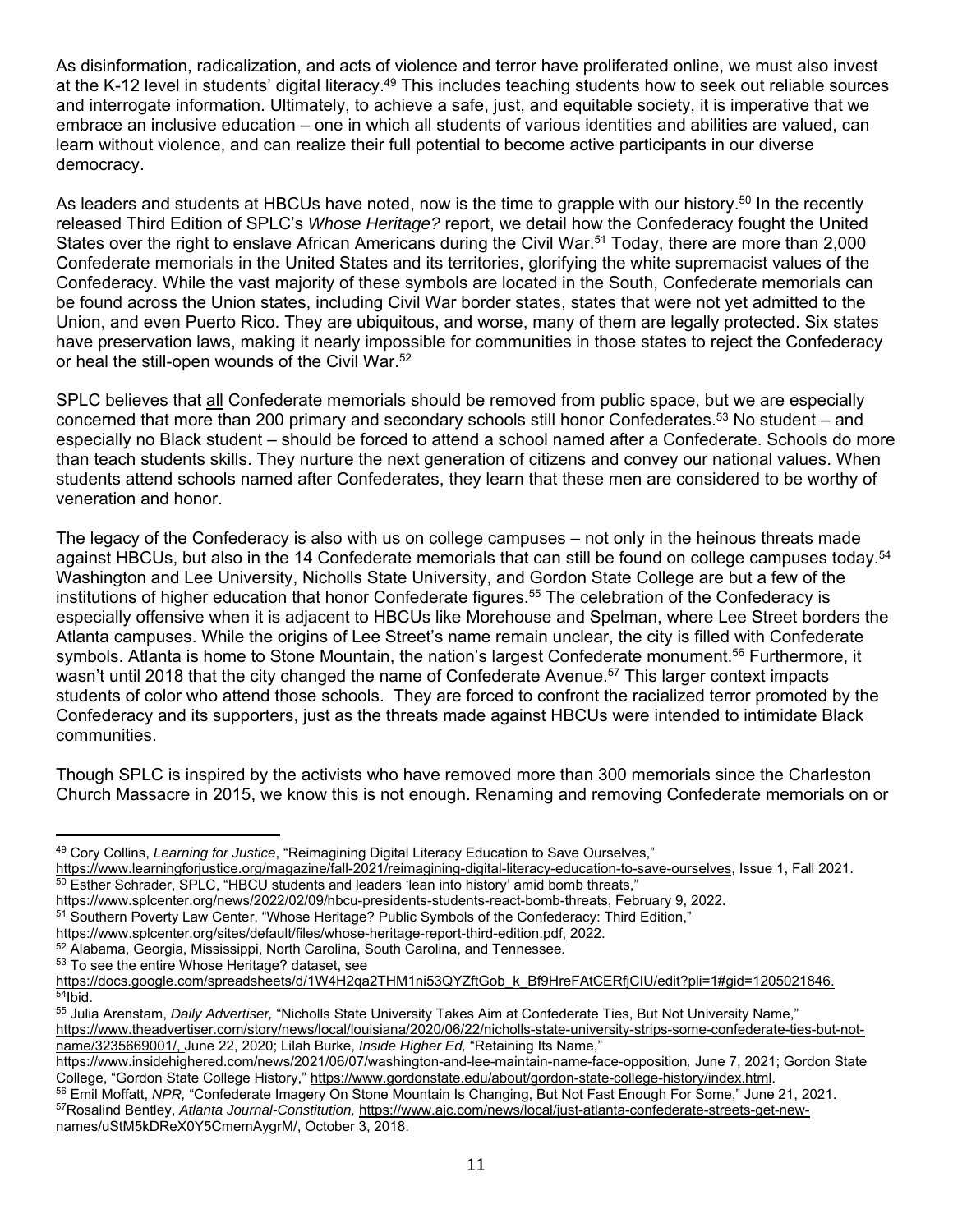As disinformation, radicalization, and acts of violence and terror have proliferated online, we must also invest at the K-12 level in students' digital literacy.<sup>49</sup> This includes teaching students how to seek out reliable sources and interrogate information. Ultimately, to achieve a safe, just, and equitable society, it is imperative that we embrace an inclusive education – one in which all students of various identities and abilities are valued, can learn without violence, and can realize their full potential to become active participants in our diverse democracy.

As leaders and students at HBCUs have noted, now is the time to grapple with our history.<sup>50</sup> In the recently released Third Edition of SPLC's *Whose Heritage?* report, we detail how the Confederacy fought the United States over the right to enslave African Americans during the Civil War.<sup>51</sup> Today, there are more than 2,000 Confederate memorials in the United States and its territories, glorifying the white supremacist values of the Confederacy. While the vast majority of these symbols are located in the South, Confederate memorials can be found across the Union states, including Civil War border states, states that were not yet admitted to the Union, and even Puerto Rico. They are ubiquitous, and worse, many of them are legally protected. Six states have preservation laws, making it nearly impossible for communities in those states to reject the Confederacy or heal the still-open wounds of the Civil War.52

SPLC believes that all Confederate memorials should be removed from public space, but we are especially concerned that more than 200 primary and secondary schools still honor Confederates.53 No student – and especially no Black student – should be forced to attend a school named after a Confederate. Schools do more than teach students skills. They nurture the next generation of citizens and convey our national values. When students attend schools named after Confederates, they learn that these men are considered to be worthy of veneration and honor.

The legacy of the Confederacy is also with us on college campuses – not only in the heinous threats made against HBCUs, but also in the 14 Confederate memorials that can still be found on college campuses today.<sup>54</sup> Washington and Lee University, Nicholls State University, and Gordon State College are but a few of the institutions of higher education that honor Confederate figures. 55 The celebration of the Confederacy is especially offensive when it is adjacent to HBCUs like Morehouse and Spelman, where Lee Street borders the Atlanta campuses. While the origins of Lee Street's name remain unclear, the city is filled with Confederate symbols. Atlanta is home to Stone Mountain, the nation's largest Confederate monument.<sup>56</sup> Furthermore, it wasn't until 2018 that the city changed the name of Confederate Avenue.<sup>57</sup> This larger context impacts students of color who attend those schools. They are forced to confront the racialized terror promoted by the Confederacy and its supporters, just as the threats made against HBCUs were intended to intimidate Black communities.

Though SPLC is inspired by the activists who have removed more than 300 memorials since the Charleston Church Massacre in 2015, we know this is not enough. Renaming and removing Confederate memorials on or

<sup>49</sup> Cory Collins, *Learning for Justice*, "Reimagining Digital Literacy Education to Save Ourselves,"

https://www.learningforjustice.org/magazine/fall-2021/reimagining-digital-literacy-education-to-save-ourselves, Issue 1, Fall 2021.<br><sup>50</sup> Esther Schrader, SPLC, "HBCU students and leaders 'lean into history' amid bomb threa

<sup>51</sup> Southern Poverty Law Center, "Whose Heritage? Public Symbols of the Confederacy: Third Edition,"<br>https://www.splcenter.org/sites/default/files/whose-heritage-report-third-edition.pdf, 2022.

 $52$  Alabama, Georgia, Mississippi, North Carolina, South Carolina, and Tennessee.<br> $53$  To see the entire Whose Heritage? dataset, see

https://docs.google.com/spreadsheets/d/1W4H2qa2THM1ni53QYZftGob\_k\_Bf9HreFAtCERfjCIU/edit?pli=1#gid=1205021846.<br><sup>54</sup>Ibid.

<sup>55</sup> Julia Arenstam, *Daily Advertiser,* "Nicholls State University Takes Aim at Confederate Ties, But Not University Name," https://www.theadvertiser.com/story/news/local/louisiana/2020/06/22/nicholls-state-university-strips-some-confederate-ties-but-notname/3235669001/, June 22, 2020; Lilah Burke, *Inside Higher Ed,* "Retaining Its Name,"

https://www.insidehighered.com/news/2021/06/07/washington-and-lee-maintain-name-face-opposition*,* June 7, 2021; Gordon State

<sup>&</sup>lt;sup>56</sup> Emil Moffatt, NPR, "Confederate Imagery On Stone Mountain Is Changing, But Not Fast Enough For Some," June 21, 2021. 57Rosalind Bentley, *Atlanta Journal-Constitution,* https://www.ajc.com/news/local/just-atlanta-confederate-streets-get-newnames/uStM5kDReX0Y5CmemAygrM/, October 3, 2018.